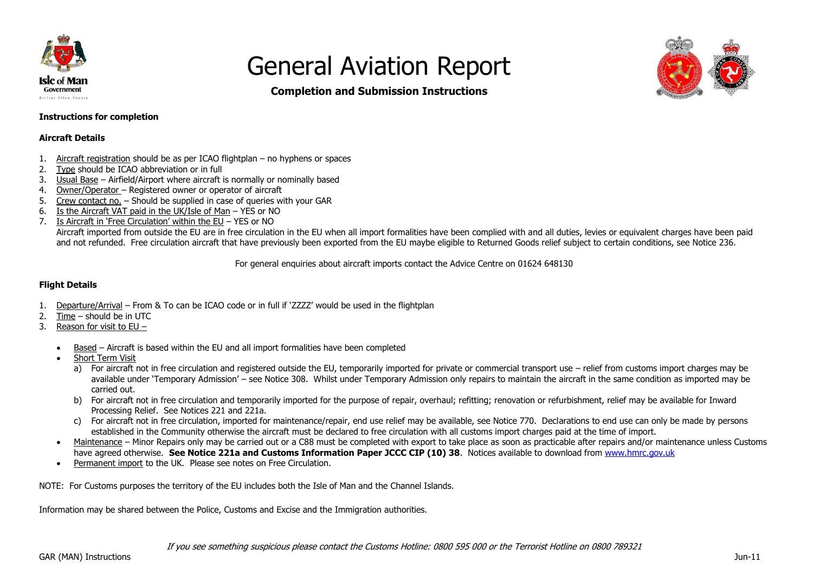



**Completion and Submission Instructions**

## **Instructions for completion**

### **Aircraft Details**

- 1. Aircraft registration should be as per ICAO flightplan no hyphens or spaces
- 2. Type should be ICAO abbreviation or in full
- 3. Usual Base Airfield/Airport where aircraft is normally or nominally based
- 4. Owner/Operator Registered owner or operator of aircraft
- 5. Crew contact no. Should be supplied in case of queries with your GAR
- 6. Is the Aircraft VAT paid in the UK/Isle of Man YES or NO
- 7. Is Aircraft in 'Free Circulation' within the EU YES or NO

Aircraft imported from outside the EU are in free circulation in the EU when all import formalities have been complied with and all duties, levies or equivalent charges have been paid and not refunded. Free circulation aircraft that have previously been exported from the EU maybe eligible to Returned Goods relief subject to certain conditions, see Notice 236.

For general enquiries about aircraft imports contact the Advice Centre on 01624 648130

### **Flight Details**

- 1. Departure/Arrival From & To can be ICAO code or in full if 'ZZZZ' would be used in the flightplan
- 2. Time should be in UTC
- 3. Reason for visit to EU
	- Based Aircraft is based within the EU and all import formalities have been completed
	- Short Term Visit
		- a) For aircraft not in free circulation and registered outside the EU, temporarily imported for private or commercial transport use relief from customs import charges may be available under 'Temporary Admission' – see Notice 308. Whilst under Temporary Admission only repairs to maintain the aircraft in the same condition as imported may be carried out.
		- b) For aircraft not in free circulation and temporarily imported for the purpose of repair, overhaul; refitting; renovation or refurbishment, relief may be available for Inward Processing Relief. See Notices 221 and 221a.
		- c) For aircraft not in free circulation, imported for maintenance/repair, end use relief may be available, see Notice 770. Declarations to end use can only be made by persons established in the Community otherwise the aircraft must be declared to free circulation with all customs import charges paid at the time of import.
	- Maintenance Minor Repairs only may be carried out or a C88 must be completed with export to take place as soon as practicable after repairs and/or maintenance unless Customs have agreed otherwise. **See Notice 221a and Customs Information Paper JCCC CIP (10) 38**. Notices available to download from [www.hmrc.gov.uk](http://www.hmrc.gov.uk/)
	- Permanent import to the UK. Please see notes on Free Circulation.

NOTE: For Customs purposes the territory of the EU includes both the Isle of Man and the Channel Islands.

Information may be shared between the Police, Customs and Excise and the Immigration authorities.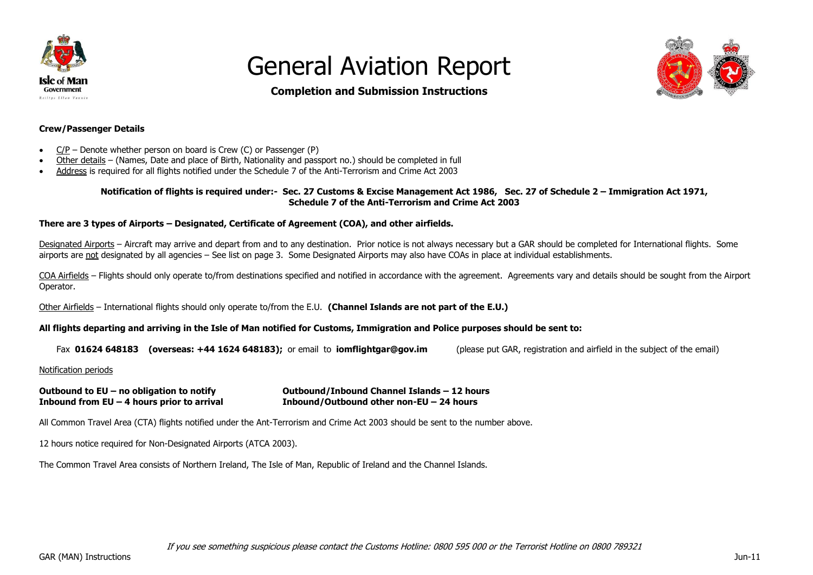



## **Completion and Submission Instructions**

#### **Crew/Passenger Details**

- $\bullet$  C/P Denote whether person on board is Crew (C) or Passenger (P)
- Other details (Names, Date and place of Birth, Nationality and passport no.) should be completed in full
- Address is required for all flights notified under the Schedule 7 of the Anti-Terrorism and Crime Act 2003

#### **Notification of flights is required under:- Sec. 27 Customs & Excise Management Act 1986, Sec. 27 of Schedule 2 – Immigration Act 1971, Schedule 7 of the Anti-Terrorism and Crime Act 2003**

### **There are 3 types of Airports – Designated, Certificate of Agreement (COA), and other airfields.**

Desianated Airports – Aircraft may arrive and depart from and to any destination. Prior notice is not always necessary but a GAR should be completed for International flights. Some airports are not designated by all agencies – See list on page 3. Some Designated Airports may also have COAs in place at individual establishments.

COA Airfields – Flights should only operate to/from destinations specified and notified in accordance with the agreement. Agreements vary and details should be sought from the Airport Operator.

Other Airfields – International flights should only operate to/from the E.U. **(Channel Islands are not part of the E.U.)**

### **All flights departing and arriving in the Isle of Man notified for Customs, Immigration and Police purposes should be sent to:**

Fax **01624 648183 (overseas: +44 1624 648183);** or email to **iomflightgar@gov.im** (please put GAR, registration and airfield in the subject of the email)

Notification periods

**Outbound to EU – no obligation to notify Outbound/Inbound Channel Islands – 12 hours Inbound from EU – 4 hours prior to arrival Inbound/Outbound other non-EU – 24 hours**

All Common Travel Area (CTA) flights notified under the Ant-Terrorism and Crime Act 2003 should be sent to the number above.

12 hours notice required for Non-Designated Airports (ATCA 2003).

The Common Travel Area consists of Northern Ireland, The Isle of Man, Republic of Ireland and the Channel Islands.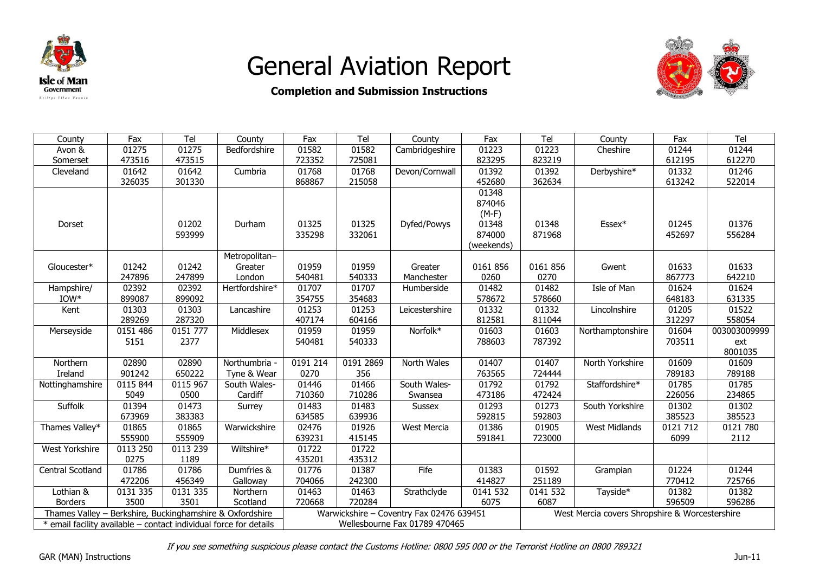



# **Completion and Submission Instructions**

| County                                                            | Fax             | Tel      | County         | Fax      | Tel       | County                                   | Fax        | Tel                                            | County               | Fax             | Tel             |  |  |  |
|-------------------------------------------------------------------|-----------------|----------|----------------|----------|-----------|------------------------------------------|------------|------------------------------------------------|----------------------|-----------------|-----------------|--|--|--|
| Avon &                                                            | 01275           | 01275    | Bedfordshire   | 01582    | 01582     | Cambridgeshire                           | 01223      | 01223                                          | Cheshire             | 01244           | 01244           |  |  |  |
| Somerset                                                          | 473516          | 473515   |                | 723352   | 725081    |                                          | 823295     | 823219                                         |                      | 612195          | 612270          |  |  |  |
| Cleveland                                                         | 01642           | 01642    | Cumbria        | 01768    | 01768     | Devon/Cornwall                           | 01392      | 01392                                          | Derbyshire*          | 01332           | 01246           |  |  |  |
|                                                                   | 326035          | 301330   |                | 868867   | 215058    |                                          | 452680     | 362634                                         |                      | 613242          | 522014          |  |  |  |
|                                                                   |                 |          |                |          |           |                                          | 01348      |                                                |                      |                 |                 |  |  |  |
|                                                                   |                 |          |                |          |           |                                          | 874046     |                                                |                      |                 |                 |  |  |  |
|                                                                   |                 |          |                |          |           |                                          | $(M-F)$    |                                                |                      |                 |                 |  |  |  |
| Dorset                                                            |                 | 01202    | Durham         | 01325    | 01325     | Dyfed/Powys                              | 01348      | 01348                                          | $Essex*$             | 01245           | 01376           |  |  |  |
|                                                                   |                 | 593999   |                | 335298   | 332061    |                                          | 874000     | 871968                                         |                      | 452697          | 556284          |  |  |  |
|                                                                   |                 |          |                |          |           |                                          | (weekends) |                                                |                      |                 |                 |  |  |  |
|                                                                   |                 |          | Metropolitan-  |          |           |                                          |            |                                                |                      |                 |                 |  |  |  |
| Gloucester*                                                       | 01242           | 01242    | Greater        | 01959    | 01959     | Greater                                  | 0161 856   | 0161856                                        | Gwent                | 01633           | 01633           |  |  |  |
|                                                                   | 247896          | 247899   | London         | 540481   | 540333    | Manchester                               | 0260       | 0270                                           |                      | 867773          | 642210          |  |  |  |
| Hampshire/                                                        | 02392           | 02392    | Hertfordshire* | 01707    | 01707     | Humberside                               | 01482      | 01482                                          | Isle of Man          | 01624           | 01624           |  |  |  |
| $IOW*$                                                            | 899087          | 899092   |                | 354755   | 354683    |                                          | 578672     | 578660                                         |                      | 648183          | 631335          |  |  |  |
| Kent                                                              | 01303           | 01303    | Lancashire     | 01253    | 01253     | Leicestershire                           | 01332      | 01332                                          | Lincolnshire         | 01205           | 01522           |  |  |  |
|                                                                   | 289269          | 287320   |                | 407174   | 604166    |                                          | 812581     | 811044                                         |                      | 312297          | 558054          |  |  |  |
| Merseyside                                                        | 0151 486        | 0151 777 | Middlesex      | 01959    | 01959     | Norfolk*                                 | 01603      | 01603                                          | Northamptonshire     | 01604           | 003003009999    |  |  |  |
|                                                                   | 5151            | 2377     |                | 540481   | 540333    |                                          | 788603     | 787392                                         |                      | 703511          | ext             |  |  |  |
| Northern                                                          |                 | 02890    | Northumbria -  | 0191 214 | 0191 2869 |                                          | 01407      | 01407                                          | North Yorkshire      |                 | 8001035         |  |  |  |
| Ireland                                                           | 02890<br>901242 | 650222   | Tyne & Wear    | 0270     | 356       | North Wales                              | 763565     | 724444                                         |                      | 01609<br>789183 | 01609<br>789188 |  |  |  |
|                                                                   | 0115 844        | 0115 967 | South Wales-   | 01446    | 01466     | South Wales-                             | 01792      | 01792                                          | Staffordshire*       | 01785           | 01785           |  |  |  |
| Nottinghamshire                                                   | 5049            | 0500     | Cardiff        | 710360   | 710286    | Swansea                                  | 473186     | 472424                                         |                      | 226056          | 234865          |  |  |  |
| Suffolk                                                           | 01394           | 01473    |                | 01483    | 01483     |                                          | 01293      | 01273                                          | South Yorkshire      | 01302           | 01302           |  |  |  |
|                                                                   | 673969          | 383383   | Surrey         | 634585   | 639936    | <b>Sussex</b>                            | 592815     | 592803                                         |                      | 385523          | 385523          |  |  |  |
| Thames Valley*                                                    | 01865           | 01865    | Warwickshire   | 02476    | 01926     | <b>West Mercia</b>                       | 01386      | 01905                                          | <b>West Midlands</b> | 0121 712        | 0121 780        |  |  |  |
|                                                                   | 555900          | 555909   |                | 639231   | 415145    |                                          | 591841     | 723000                                         |                      | 6099            | 2112            |  |  |  |
| West Yorkshire                                                    | 0113 250        | 0113 239 | Wiltshire*     | 01722    | 01722     |                                          |            |                                                |                      |                 |                 |  |  |  |
|                                                                   | 0275            | 1189     |                | 435201   | 435312    |                                          |            |                                                |                      |                 |                 |  |  |  |
| Central Scotland                                                  | 01786           | 01786    | Dumfries &     | 01776    | 01387     | Fife                                     | 01383      | 01592                                          | Grampian             | 01224           | 01244           |  |  |  |
|                                                                   | 472206          | 456349   | Galloway       | 704066   | 242300    |                                          | 414827     | 251189                                         |                      | 770412          | 725766          |  |  |  |
| Lothian &                                                         | 0131 335        | 0131 335 | Northern       | 01463    | 01463     | Strathclyde                              | 0141 532   | 0141 532                                       | Tayside*             | 01382           | 01382           |  |  |  |
| <b>Borders</b>                                                    | 3500            | 3501     | Scotland       | 720668   | 720284    |                                          | 6075       | 6087                                           |                      | 596509          | 596286          |  |  |  |
| Thames Valley - Berkshire, Buckinghamshire & Oxfordshire          |                 |          |                |          |           | Warwickshire - Coventry Fax 02476 639451 |            | West Mercia covers Shropshire & Worcestershire |                      |                 |                 |  |  |  |
| * email facility available - contact individual force for details |                 |          |                |          |           | Wellesbourne Fax 01789 470465            |            |                                                |                      |                 |                 |  |  |  |
|                                                                   |                 |          |                |          |           |                                          |            |                                                |                      |                 |                 |  |  |  |

If you see something suspicious please contact the Customs Hotline: 0800 595 000 or the Terrorist Hotline on 0800 789321